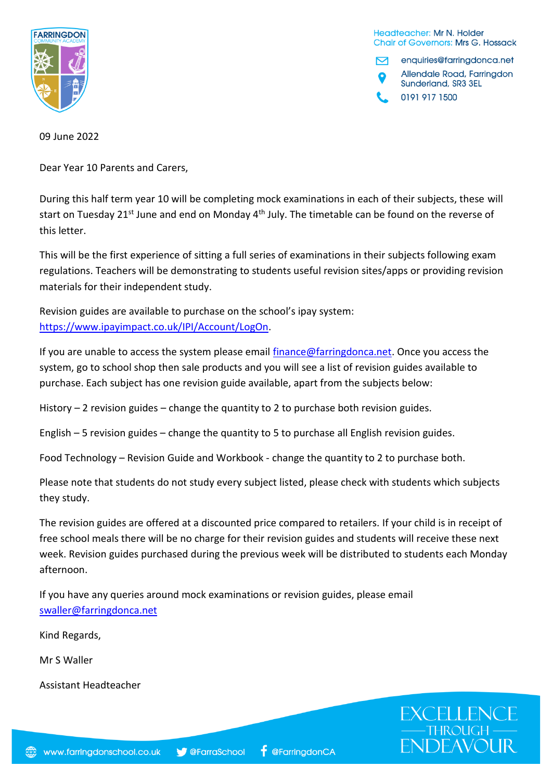

Headteacher: Mr N. Holder **Chair of Governors: Mrs G. Hossack** 

enquiries@farringdonca.net M Allendale Road, Farringdon Sunderland, SR3 3EL 0191 917 1500

**EXCELLENG** 

**ENDEAVOUR** 

09 June 2022

Dear Year 10 Parents and Carers,

During this half term year 10 will be completing mock examinations in each of their subjects, these will start on Tuesday 21<sup>st</sup> June and end on Monday 4<sup>th</sup> July. The timetable can be found on the reverse of this letter.

This will be the first experience of sitting a full series of examinations in their subjects following exam regulations. Teachers will be demonstrating to students useful revision sites/apps or providing revision materials for their independent study.

Revision guides are available to purchase on the school's ipay system: [https://www.ipayimpact.co.uk/IPI/Account/LogOn.](https://www.ipayimpact.co.uk/IPI/Account/LogOn)

If you are unable to access the system please email  $finance@farringdonca.net$ . Once you access the system, go to school shop then sale products and you will see a list of revision guides available to purchase. Each subject has one revision guide available, apart from the subjects below:

History  $-2$  revision guides  $-$  change the quantity to 2 to purchase both revision guides.

English – 5 revision guides – change the quantity to 5 to purchase all English revision guides.

Food Technology – Revision Guide and Workbook - change the quantity to 2 to purchase both.

Please note that students do not study every subject listed, please check with students which subjects they study.

The revision guides are offered at a discounted price compared to retailers. If your child is in receipt of free school meals there will be no charge for their revision guides and students will receive these next week. Revision guides purchased during the previous week will be distributed to students each Monday afternoon.

If you have any queries around mock examinations or revision guides, please email [swaller@farringdonca.net](mailto:swaller@farringdonca.net)

Kind Regards,

Mr S Waller

Assistant Headteacher